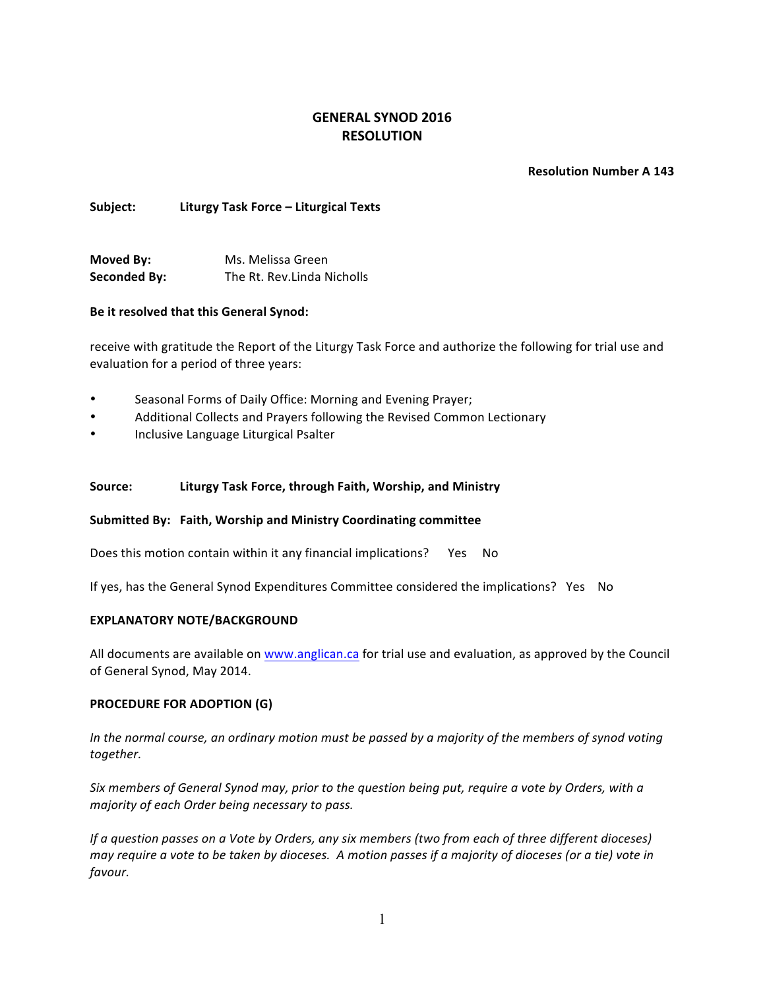# **GENERAL SYNOD 2016 RESOLUTION**

## **Resolution Number A 143**

# **Subject: Liturgy Task Force – Liturgical Texts**

**Moved By:** Ms. Melissa Green **Seconded By:** The Rt. Rev.Linda Nicholls

# **Be it resolved that this General Synod:**

receive with gratitude the Report of the Liturgy Task Force and authorize the following for trial use and evaluation for a period of three years:

- Seasonal Forms of Daily Office: Morning and Evening Prayer;
- Additional Collects and Prayers following the Revised Common Lectionary
- Inclusive Language Liturgical Psalter

# Source: **Liturgy Task Force, through Faith, Worship, and Ministry**

## **Submitted By: Faith, Worship and Ministry Coordinating committee**

Does this motion contain within it any financial implications? Yes No

If yes, has the General Synod Expenditures Committee considered the implications? Yes No

## **EXPLANATORY NOTE/BACKGROUND**

All documents are available on www.anglican.ca for trial use and evaluation, as approved by the Council of General Synod, May 2014.

## **PROCEDURE FOR ADOPTION (G)**

*In* the normal course, an ordinary motion must be passed by a majority of the members of synod voting *together.*

*Six* members of General Synod may, prior to the question being put, require a vote by Orders, with a *majority of each Order being necessary to pass.*

*If* a question passes on a Vote by Orders, any six members (two from each of three different dioceses) *may require a vote to be taken by dioceses.* A motion passes if a majority of dioceses (or a tie) vote in *favour.*